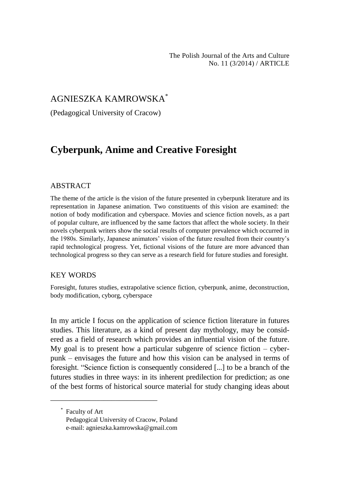# AGNIESZKA KAMROWSKA\*

(Pedagogical University of Cracow)

# **Cyberpunk, Anime and Creative Foresight**

# ABSTRACT

The theme of the article is the vision of the future presented in cyberpunk literature and its representation in Japanese animation. Two constituents of this vision are examined: the notion of body modification and cyberspace. Movies and science fiction novels, as a part of popular culture, are influenced by the same factors that affect the whole society. In their novels cyberpunk writers show the social results of computer prevalence which occurred in the 1980s. Similarly, Japanese animators' vision of the future resulted from their country's rapid technological progress. Yet, fictional visions of the future are more advanced than technological progress so they can serve as a research field for future studies and foresight.

### KEY WORDS

Foresight, futures studies, extrapolative science fiction, cyberpunk, anime, deconstruction, body modification, cyborg, cyberspace

In my article I focus on the application of science fiction literature in futures studies. This literature, as a kind of present day mythology, may be considered as a field of research which provides an influential vision of the future. My goal is to present how a particular subgenre of science fiction – cyberpunk – envisages the future and how this vision can be analysed in terms of foresight. "Science fiction is consequently considered [...] to be a branch of the futures studies in three ways: in its inherent predilection for prediction; as one of the best forms of historical source material for study changing ideas about

\_\_\_\_\_\_\_\_\_\_\_\_\_\_\_\_\_\_\_\_\_\_\_\_\_\_\_\_

<sup>\*</sup> Faculty of Art Pedagogical University of Cracow, Poland e-mail: agnieszka.kamrowska@gmail.com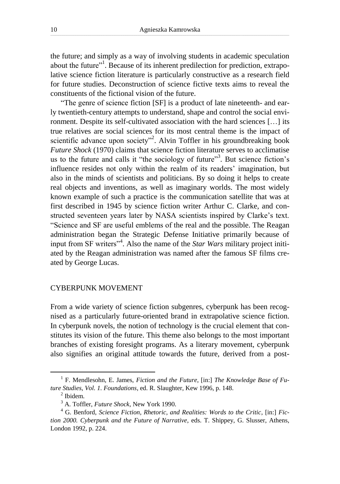the future; and simply as a way of involving students in academic speculation about the future"<sup>1</sup>. Because of its inherent predilection for prediction, extrapolative science fiction literature is particularly constructive as a research field for future studies. Deconstruction of science fictive texts aims to reveal the constituents of the fictional vision of the future.

"The genre of science fiction [SF] is a product of late nineteenth- and early twentieth-century attempts to understand, shape and control the social environment. Despite its self-cultivated association with the hard sciences […] its true relatives are social sciences for its most central theme is the impact of scientific advance upon society"<sup>2</sup>. Alvin Toffler in his groundbreaking book *Future Shock* (1970) claims that science fiction literature serves to acclimatise us to the future and calls it "the sociology of future"<sup>3</sup>. But science fiction's influence resides not only within the realm of its readers' imagination, but also in the minds of scientists and politicians. By so doing it helps to create real objects and inventions, as well as imaginary worlds. The most widely known example of such a practice is the communication satellite that was at first described in 1945 by science fiction writer Arthur C. Clarke, and constructed seventeen years later by NASA scientists inspired by Clarke's text. "Science and SF are useful emblems of the real and the possible. The Reagan administration began the Strategic Defense Initiative primarily because of input from SF writers"<sup>4</sup> . Also the name of the *Star Wars* military project initiated by the Reagan administration was named after the famous SF films created by George Lucas.

# CYBERPUNK MOVEMENT

From a wide variety of science fiction subgenres, cyberpunk has been recognised as a particularly future-oriented brand in extrapolative science fiction. In cyberpunk novels, the notion of technology is the crucial element that constitutes its vision of the future. This theme also belongs to the most important branches of existing foresight programs. As a literary movement, cyberpunk also signifies an original attitude towards the future, derived from a post-

<sup>&</sup>lt;sup>1</sup> F. Mendlesohn, E. James, *Fiction and the Future*, [in:] *The Knowledge Base of Future Studies, Vol. 1. Foundations*, ed. R. Slaughter, Kew 1996, p. 148.

 $2$  Ibidem.

<sup>3</sup> A. Toffler, *Future Shock*, New York 1990.

<sup>4</sup> G. Benford, *Science Fiction, Rhetoric, and Realities: Words to the Critic*, [in:] *Fiction 2000. Cyberpunk and the Future of Narrative*, eds. T. Shippey, G. Slusser, Athens, London 1992, p. 224.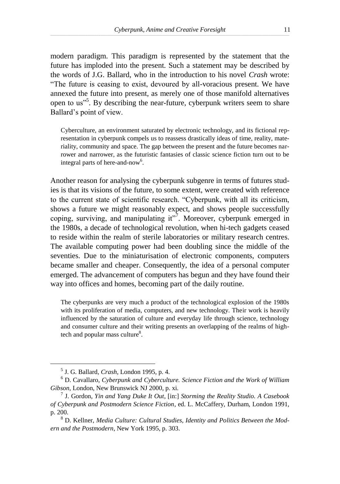modern paradigm. This paradigm is represented by the statement that the future has imploded into the present. Such a statement may be described by the words of J.G. Ballard, who in the introduction to his novel *Crash* wrote: "The future is ceasing to exist, devoured by all-voracious present. We have annexed the future into present, as merely one of those manifold alternatives open to us<sup>55</sup>. By describing the near-future, cyberpunk writers seem to share Ballard's point of view.

Cyberculture, an environment saturated by electronic technology, and its fictional representation in cyberpunk compels us to reassess drastically ideas of time, reality, materiality, community and space. The gap between the present and the future becomes narrower and narrower, as the futuristic fantasies of classic science fiction turn out to be integral parts of here-and-now<sup>6</sup>.

Another reason for analysing the cyberpunk subgenre in terms of futures studies is that its visions of the future, to some extent, were created with reference to the current state of scientific research. "Cyberpunk, with all its criticism, shows a future we might reasonably expect, and shows people successfully coping, surviving, and manipulating it"<sup>7</sup>. Moreover, cyberpunk emerged in the 1980s, a decade of technological revolution, when hi-tech gadgets ceased to reside within the realm of sterile laboratories or military research centres. The available computing power had been doubling since the middle of the seventies. Due to the miniaturisation of electronic components, computers became smaller and cheaper. Consequently, the idea of a personal computer emerged. The advancement of computers has begun and they have found their way into offices and homes, becoming part of the daily routine.

The cyberpunks are very much a product of the technological explosion of the 1980s with its proliferation of media, computers, and new technology. Their work is heavily influenced by the saturation of culture and everyday life through science, technology and consumer culture and their writing presents an overlapping of the realms of hightech and popular mass culture<sup>8</sup>.

<sup>5</sup> J. G. Ballard, *Crash*, London 1995, p. 4.

<sup>6</sup> D. Cavallaro, *Cyberpunk and Cyberculture. Science Fiction and the Work of William Gibson*, London, New Brunswick NJ 2000, p. xi.

<sup>7</sup> J. Gordon, *Yin and Yang Duke It Out*, [in:] *Storming the Reality Studio. A Casebook of Cyberpunk and Postmodern Science Fiction*, ed. L. McCaffery, Durham, London 1991, p. 200.

<sup>8</sup> D. Kellner, *Media Culture: Cultural Studies, Identity and Politics Between the Modern and the Postmodern*, New York 1995, p. 303.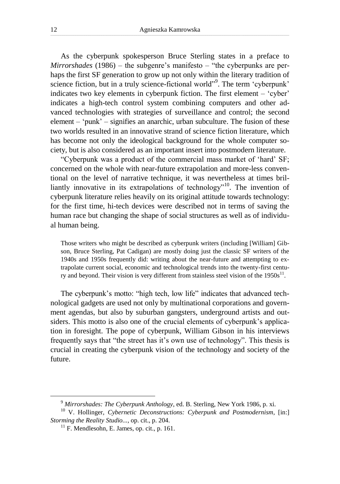As the cyberpunk spokesperson Bruce Sterling states in a preface to *Mirrorshades* (1986) – the subgenre's manifesto – "the cyberpunks are perhaps the first SF generation to grow up not only within the literary tradition of science fiction, but in a truly science-fictional world"<sup>9</sup>. The term 'cyberpunk' indicates two key elements in cyberpunk fiction. The first element – 'cyber' indicates a high-tech control system combining computers and other advanced technologies with strategies of surveillance and control; the second element – 'punk' – signifies an anarchic, urban subculture. The fusion of these two worlds resulted in an innovative strand of science fiction literature, which has become not only the ideological background for the whole computer society, but is also considered as an important insert into postmodern literature.

"Cyberpunk was a product of the commercial mass market of 'hard' SF; concerned on the whole with near-future extrapolation and more-less conventional on the level of narrative technique, it was nevertheless at times brilliantly innovative in its extrapolations of technology"<sup>10</sup>. The invention of cyberpunk literature relies heavily on its original attitude towards technology: for the first time, hi-tech devices were described not in terms of saving the human race but changing the shape of social structures as well as of individual human being.

Those writers who might be described as cyberpunk writers (including [William] Gibson, Bruce Sterling, Pat Cadigan) are mostly doing just the classic SF writers of the 1940s and 1950s frequently did: writing about the near-future and attempting to extrapolate current social, economic and technological trends into the twenty-first century and beyond. Their vision is very different from stainless steel vision of the  $1950s^{11}$ .

The cyberpunk's motto: "high tech, low life" indicates that advanced technological gadgets are used not only by multinational corporations and government agendas, but also by suburban gangsters, underground artists and outsiders. This motto is also one of the crucial elements of cyberpunk's application in foresight. The pope of cyberpunk, William Gibson in his interviews frequently says that "the street has it's own use of technology". This thesis is crucial in creating the cyberpunk vision of the technology and society of the future.

<sup>9</sup> *Mirrorshades: The Cyberpunk Anthology*, ed. B. Sterling, New York 1986, p. xi.

<sup>10</sup> V. Hollinger, *Cybernetic Deconstructions: Cyberpunk and Postmodernism*, [in:] *Storming the Reality Studio...*, op. cit., p. 204.

 $11$  F. Mendlesohn, E. James, op. cit., p. 161.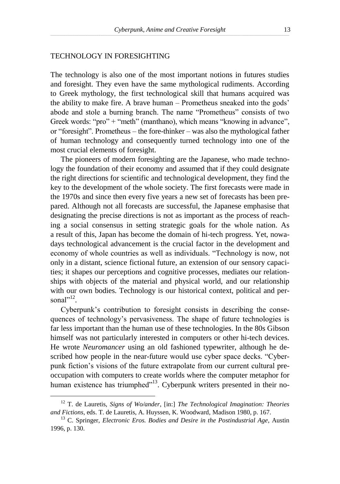#### TECHNOLOGY IN FORESIGHTING

The technology is also one of the most important notions in futures studies and foresight. They even have the same mythological rudiments. According to Greek mythology, the first technological skill that humans acquired was the ability to make fire. A brave human – Prometheus sneaked into the gods' abode and stole a burning branch. The name "Prometheus" consists of two Greek words: "pro" + "meth" (manthano), which means "knowing in advance", or "foresight". Prometheus – the fore-thinker – was also the mythological father of human technology and consequently turned technology into one of the most crucial elements of foresight.

The pioneers of modern foresighting are the Japanese, who made technology the foundation of their economy and assumed that if they could designate the right directions for scientific and technological development, they find the key to the development of the whole society. The first forecasts were made in the 1970s and since then every five years a new set of forecasts has been prepared. Although not all forecasts are successful, the Japanese emphasise that designating the precise directions is not as important as the process of reaching a social consensus in setting strategic goals for the whole nation. As a result of this, Japan has become the domain of hi-tech progress. Yet, nowadays technological advancement is the crucial factor in the development and economy of whole countries as well as individuals. "Technology is now, not only in a distant, science fictional future, an extension of our sensory capacities; it shapes our perceptions and cognitive processes, mediates our relationships with objects of the material and physical world, and our relationship with our own bodies. Technology is our historical context, political and personal"<sup>12</sup>.

Cyberpunk's contribution to foresight consists in describing the consequences of technology's pervasiveness. The shape of future technologies is far less important than the human use of these technologies. In the 80s Gibson himself was not particularly interested in computers or other hi-tech devices. He wrote *Neuromancer* using an old fashioned typewriter, although he described how people in the near-future would use cyber space decks. "Cyberpunk fiction's visions of the future extrapolate from our current cultural preoccupation with computers to create worlds where the computer metaphor for human existence has triumphed"<sup>13</sup>. Cyberpunk writers presented in their no-

<sup>12</sup> T. de Lauretis, *Signs of Wo/ander*, [in:] *The Technological Imagination: Theories and Fictions*, eds. T. de Lauretis, A. Huyssen, K. Woodward, Madison 1980, p. 167.

<sup>13</sup> C. Springer, *Electronic Eros. Bodies and Desire in the Postindustrial Age*, Austin 1996, p. 130.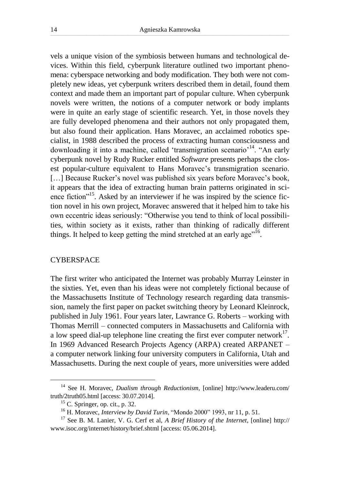vels a unique vision of the symbiosis between humans and technological devices. Within this field, cyberpunk literature outlined two important phenomena: cyberspace networking and body modification. They both were not completely new ideas, yet cyberpunk writers described them in detail, found them context and made them an important part of popular culture. When cyberpunk novels were written, the notions of a computer network or body implants were in quite an early stage of scientific research. Yet, in those novels they are fully developed phenomena and their authors not only propagated them, but also found their application. Hans Moravec, an acclaimed robotics specialist, in 1988 described the process of extracting human consciousness and downloading it into a machine, called 'transmigration scenario'<sup>14</sup>. "An early cyberpunk novel by Rudy Rucker entitled *Software* presents perhaps the closest popular-culture equivalent to Hans Moravec's transmigration scenario. [...] Because Rucker's novel was published six years before Moravec's book, it appears that the idea of extracting human brain patterns originated in science fiction"<sup>15</sup>. Asked by an interviewer if he was inspired by the science fiction novel in his own project, Moravec answered that it helped him to take his own eccentric ideas seriously: "Otherwise you tend to think of local possibilities, within society as it exists, rather than thinking of radically different things. It helped to keep getting the mind stretched at an early age"<sup>16</sup>.

# **CYBERSPACE**

 $\overline{a}$ 

The first writer who anticipated the Internet was probably Murray Leinster in the sixties. Yet, even than his ideas were not completely fictional because of the Massachusetts Institute of Technology research regarding data transmission, namely the first paper on packet switching theory by Leonard Kleinrock, published in July 1961. Four years later, Lawrance G. Roberts – working with Thomas Merrill – connected computers in Massachusetts and California with a low speed dial-up telephone line creating the first ever computer network $17$ . In 1969 Advanced Research Projects Agency (ARPA) created ARPANET – a computer network linking four university computers in California, Utah and Massachusetts. During the next couple of years, more universities were added

<sup>14</sup> See H. Moravec, *Dualism through Reductionism*, [online] http://www.leaderu.com/ truth/2truth05.html [access: 30.07.2014].

 $15$  C. Springer, op. cit., p. 32.

<sup>&</sup>lt;sup>16</sup> H. Moravec, *Interview by David Turin*, "Mondo 2000" 1993, nr 11, p. 51.

<sup>17</sup> See B. M. Lanier, V. G. Cerf et al, *A Brief History of the Internet*, [online] http:// www.isoc.org/internet/history/brief.shtml [access: 05.06.2014].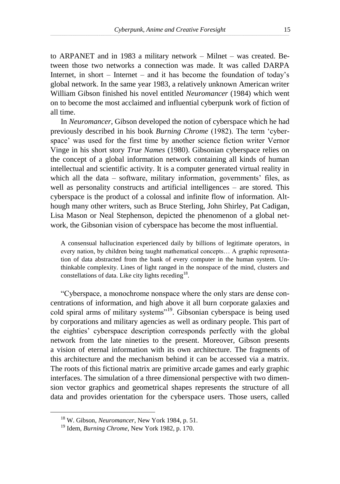to ARPANET and in 1983 a military network – Milnet – was created. Between those two networks a connection was made. It was called DARPA Internet, in short – Internet – and it has become the foundation of today's global network. In the same year 1983, a relatively unknown American writer William Gibson finished his novel entitled *Neuromancer* (1984) which went on to become the most acclaimed and influential cyberpunk work of fiction of all time.

In *Neuromancer,* Gibson developed the notion of cyberspace which he had previously described in his book *Burning Chrome* (1982). The term 'cyberspace' was used for the first time by another science fiction writer Vernor Vinge in his short story *True Names* (1980). Gibsonian cyberspace relies on the concept of a global information network containing all kinds of human intellectual and scientific activity. It is a computer generated virtual reality in which all the data – software, military information, governments' files, as well as personality constructs and artificial intelligences – are stored. This cyberspace is the product of a colossal and infinite flow of information. Although many other writers, such as Bruce Sterling, John Shirley, Pat Cadigan, Lisa Mason or Neal Stephenson, depicted the phenomenon of a global network, the Gibsonian vision of cyberspace has become the most influential.

A consensual hallucination experienced daily by billions of legitimate operators, in every nation, by children being taught mathematical concepts… A graphic representation of data abstracted from the bank of every computer in the human system. Unthinkable complexity. Lines of light ranged in the nonspace of the mind, clusters and constellations of data. Like city lights receding  $18$ .

"Cyberspace, a monochrome nonspace where the only stars are dense concentrations of information, and high above it all burn corporate galaxies and cold spiral arms of military systems"<sup>19</sup>. Gibsonian cyberspace is being used by corporations and military agencies as well as ordinary people. This part of the eighties' cyberspace description corresponds perfectly with the global network from the late nineties to the present. Moreover, Gibson presents a vision of eternal information with its own architecture. The fragments of this architecture and the mechanism behind it can be accessed via a matrix. The roots of this fictional matrix are primitive arcade games and early graphic interfaces. The simulation of a three dimensional perspective with two dimension vector graphics and geometrical shapes represents the structure of all data and provides orientation for the cyberspace users. Those users, called

<sup>18</sup> W. Gibson, *Neuromancer*, New York 1984, p. 51.

<sup>19</sup> Idem, *Burning Chrome*, New York 1982, p. 170.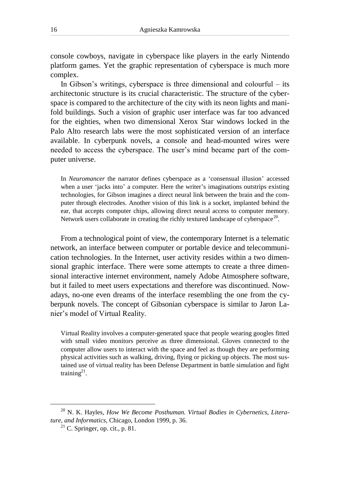console cowboys, navigate in cyberspace like players in the early Nintendo platform games. Yet the graphic representation of cyberspace is much more complex.

In Gibson's writings, cyberspace is three dimensional and colourful – its architectonic structure is its crucial characteristic. The structure of the cyberspace is compared to the architecture of the city with its neon lights and manifold buildings. Such a vision of graphic user interface was far too advanced for the eighties, when two dimensional Xerox Star windows locked in the Palo Alto research labs were the most sophisticated version of an interface available. In cyberpunk novels, a console and head-mounted wires were needed to access the cyberspace. The user's mind became part of the computer universe.

In *Neuromancer* the narrator defines cyberspace as a 'consensual illusion' accessed when a user 'jacks into' a computer. Here the writer's imaginations outstrips existing technologies, for Gibson imagines a direct neural link between the brain and the computer through electrodes. Another vision of this link is a socket, implanted behind the ear, that accepts computer chips, allowing direct neural access to computer memory. Network users collaborate in creating the richly textured landscape of cyberspace<sup>20</sup>.

From a technological point of view, the contemporary Internet is a telematic network, an interface between computer or portable device and telecommunication technologies. In the Internet, user activity resides within a two dimensional graphic interface. There were some attempts to create a three dimensional interactive internet environment, namely Adobe Atmosphere software, but it failed to meet users expectations and therefore was discontinued. Nowadays, no-one even dreams of the interface resembling the one from the cyberpunk novels. The concept of Gibsonian cyberspace is similar to Jaron Lanier's model of Virtual Reality.

Virtual Reality involves a computer-generated space that people wearing googles fitted with small video monitors perceive as three dimensional. Gloves connected to the computer allow users to interact with the space and feel as though they are performing physical activities such as walking, driving, flying or picking up objects. The most sustained use of virtual reality has been Defense Department in battle simulation and fight training $21$ .

<sup>20</sup> N. K. Hayles, *How We Become Posthuman. Virtual Bodies in Cybernetics, Literature, and Informatics*, Chicago, London 1999, p. 36.

 $21$  C. Springer, op. cit., p. 81.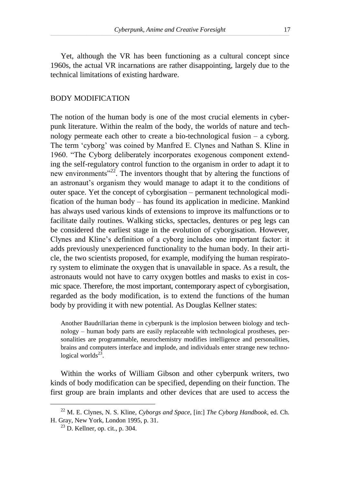Yet, although the VR has been functioning as a cultural concept since 1960s, the actual VR incarnations are rather disappointing, largely due to the technical limitations of existing hardware.

# BODY MODIFICATION

The notion of the human body is one of the most crucial elements in cyberpunk literature. Within the realm of the body, the worlds of nature and technology permeate each other to create a bio-technological fusion – a cyborg. The term 'cyborg' was coined by Manfred E. Clynes and Nathan S. Kline in 1960. "The Cyborg deliberately incorporates exogenous component extending the self-regulatory control function to the organism in order to adapt it to new environments"<sup>22</sup>. The inventors thought that by altering the functions of an astronaut's organism they would manage to adapt it to the conditions of outer space. Yet the concept of cyborgisation – permanent technological modification of the human body – has found its application in medicine. Mankind has always used various kinds of extensions to improve its malfunctions or to facilitate daily routines. Walking sticks, spectacles, dentures or peg legs can be considered the earliest stage in the evolution of cyborgisation. However, Clynes and Kline's definition of a cyborg includes one important factor: it adds previously unexperienced functionality to the human body. In their article, the two scientists proposed, for example, modifying the human respiratory system to eliminate the oxygen that is unavailable in space. As a result, the astronauts would not have to carry oxygen bottles and masks to exist in cosmic space. Therefore, the most important, contemporary aspect of cyborgisation, regarded as the body modification, is to extend the functions of the human body by providing it with new potential. As Douglas Kellner states:

Another Baudrillarian theme in cyberpunk is the implosion between biology and technology – human body parts are easily replaceable with technological prostheses, personalities are programmable, neurochemistry modifies intelligence and personalities, brains and computers interface and implode, and individuals enter strange new technological worlds $^{23}$ .

Within the works of William Gibson and other cyberpunk writers, two kinds of body modification can be specified, depending on their function. The first group are brain implants and other devices that are used to access the

<sup>22</sup> M. E. Clynes, N. S. Kline, *Cyborgs and Space*, [in:] *The Cyborg Handbook*, ed. Ch. H. Gray, New York, London 1995, p. 31.

<sup>23</sup> D. Kellner, op. cit., p. 304.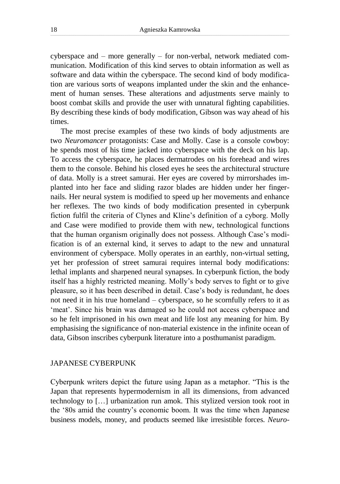cyberspace and – more generally – for non-verbal, network mediated communication. Modification of this kind serves to obtain information as well as software and data within the cyberspace. The second kind of body modification are various sorts of weapons implanted under the skin and the enhancement of human senses. These alterations and adjustments serve mainly to boost combat skills and provide the user with unnatural fighting capabilities. By describing these kinds of body modification, Gibson was way ahead of his times.

The most precise examples of these two kinds of body adjustments are two *Neuromancer* protagonists: Case and Molly. Case is a console cowboy: he spends most of his time jacked into cyberspace with the deck on his lap. To access the cyberspace, he places dermatrodes on his forehead and wires them to the console. Behind his closed eyes he sees the architectural structure of data. Molly is a street samurai. Her eyes are covered by mirrorshades implanted into her face and sliding razor blades are hidden under her fingernails. Her neural system is modified to speed up her movements and enhance her reflexes. The two kinds of body modification presented in cyberpunk fiction fulfil the criteria of Clynes and Kline's definition of a cyborg. Molly and Case were modified to provide them with new, technological functions that the human organism originally does not possess. Although Case's modification is of an external kind, it serves to adapt to the new and unnatural environment of cyberspace. Molly operates in an earthly, non-virtual setting, yet her profession of street samurai requires internal body modifications: lethal implants and sharpened neural synapses. In cyberpunk fiction, the body itself has a highly restricted meaning. Molly's body serves to fight or to give pleasure, so it has been described in detail. Case's body is redundant, he does not need it in his true homeland – cyberspace, so he scornfully refers to it as 'meat'. Since his brain was damaged so he could not access cyberspace and so he felt imprisoned in his own meat and life lost any meaning for him. By emphasising the significance of non-material existence in the infinite ocean of data, Gibson inscribes cyberpunk literature into a posthumanist paradigm.

#### JAPANESE CYBERPUNK

Cyberpunk writers depict the future using Japan as a metaphor. "This is the Japan that represents hypermodernism in all its dimensions, from advanced technology to […] urbanization run amok. This stylized version took root in the '80s amid the country's economic boom. It was the time when Japanese business models, money, and products seemed like irresistible forces. *Neuro-*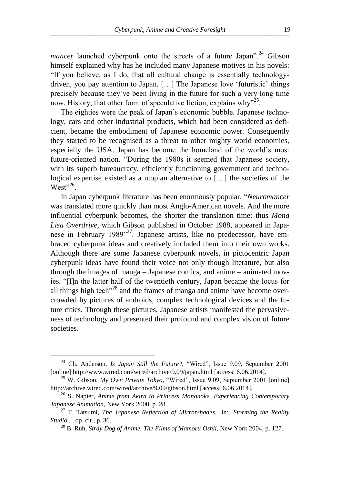*mancer* launched cyberpunk onto the streets of a future Japan".<sup>24</sup> Gibson himself explained why has he included many Japanese motives in his novels: "If you believe, as I do, that all cultural change is essentially technologydriven, you pay attention to Japan. […] The Japanese love 'futuristic' things precisely because they've been living in the future for such a very long time now. History, that other form of speculative fiction, explains why<sup>325</sup>.

The eighties were the peak of Japan's economic bubble. Japanese technology, cars and other industrial products, which had been considered as deficient, became the embodiment of Japanese economic power. Consequently they started to be recognised as a threat to other mighty world economies, especially the USA. Japan has become the homeland of the world's most future-oriented nation. "During the 1980s it seemed that Japanese society, with its superb bureaucracy, efficiently functioning government and technological expertise existed as a utopian alternative to […] the societies of the  $West$ <sup>26</sup>.

In Japan cyberpunk literature has been enormously popular. "*Neuromancer* was translated more quickly than most Anglo-American novels. And the more influential cyberpunk becomes, the shorter the translation time: thus *Mona Lisa Overdrive,* which Gibson published in October 1988, appeared in Japanese in February 1989"<sup>27</sup>. Japanese artists, like no predecessor, have embraced cyberpunk ideas and creatively included them into their own works. Although there are some Japanese cyberpunk novels, in pictocentric Japan cyberpunk ideas have found their voice not only though literature, but also through the images of manga – Japanese comics, and anime – animated movies. "[I]n the latter half of the twentieth century, Japan became the locus for all things high tech $^{28}$  and the frames of manga and anime have become overcrowded by pictures of androids, complex technological devices and the future cities. Through these pictures, Japanese artists manifested the pervasiveness of technology and presented their profound and complex vision of future societies.

<sup>24</sup> Ch. Anderson, *Is Japan Still the Future?*, "Wired", Issue 9.09, September 2001 [online] http://www.wired.com/wired/archive/9.09/japan.html [access: 6.06.2014].

<sup>25</sup> W. Gibson, *My Own Private Tokyo*, "Wired", Issue 9.09, September 2001 [online] http://archive.wired.com/wired/archive/9.09/gibson.html [access: 6.06.2014].

<sup>26</sup> S. Napier, *Anime from Akira to Princess Mononoke. Experiencing Contemporary Japanese Animation*, New York 2000, p. 28.

<sup>27</sup> T. Tatsumi, *The Japanese Reflection of Mirrorshades*, [in:] *Storming the Reality Studio...*, op. cit., p. 36.

<sup>28</sup> B. Ruh, *Stray Dog of Anime. The Films of Mamoru Oshii*, New York 2004, p. 127.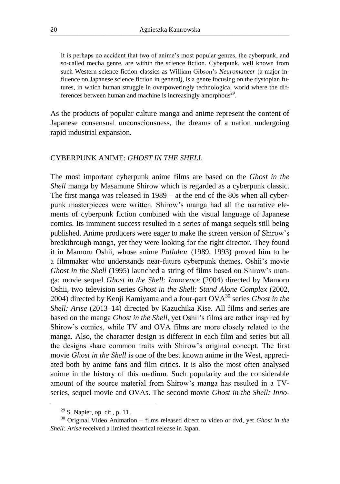It is perhaps no accident that two of anime's most popular genres, the cyberpunk, and so-called mecha genre, are within the science fiction. Cyberpunk, well known from such Western science fiction classics as William Gibson's *Neuromancer* (a major influence on Japanese science fiction in general), is a genre focusing on the dystopian futures, in which human struggle in overpoweringly technological world where the differences between human and machine is increasingly amorphous<sup>29</sup>.

As the products of popular culture manga and anime represent the content of Japanese consensual unconsciousness, the dreams of a nation undergoing rapid industrial expansion.

# CYBERPUNK ANIME: *GHOST IN THE SHELL*

The most important cyberpunk anime films are based on the *Ghost in the Shell* manga by Masamune Shirow which is regarded as a cyberpunk classic. The first manga was released in 1989 – at the end of the 80s when all cyberpunk masterpieces were written. Shirow's manga had all the narrative elements of cyberpunk fiction combined with the visual language of Japanese comics. Its imminent success resulted in a series of manga sequels still being published. Anime producers were eager to make the screen version of Shirow's breakthrough manga, yet they were looking for the right director. They found it in Mamoru Oshii, whose anime *Patlabor* (1989, 1993) proved him to be a filmmaker who understands near-future cyberpunk themes. Oshii's movie *Ghost in the Shell* (1995) launched a string of films based on Shirow's manga: movie sequel *Ghost in the Shell: Innocence* (2004) directed by Mamoru Oshii, two television series *Ghost in the Shell: Stand Alone Complex* (2002, 2004) directed by Kenji Kamiyama and a four-part OVA<sup>30</sup> series *Ghost in the Shell: Arise* (2013–14) directed by Kazuchika Kise. All films and series are based on the manga *Ghost in the Shell*, yet Oshii's films are rather inspired by Shirow's comics, while TV and OVA films are more closely related to the manga. Also, the character design is different in each film and series but all the designs share common traits with Shirow's original concept. The first movie *Ghost in the Shell* is one of the best known anime in the West, appreciated both by anime fans and film critics. It is also the most often analysed anime in the history of this medium. Such popularity and the considerable amount of the source material from Shirow's manga has resulted in a TVseries, sequel movie and OVAs. The second movie *Ghost in the Shell: Inno-*

 $29$  S. Napier, op. cit., p. 11.

<sup>30</sup> Original Video Animation – films released direct to video or dvd, yet *Ghost in the Shell: Arise* received a limited theatrical release in Japan.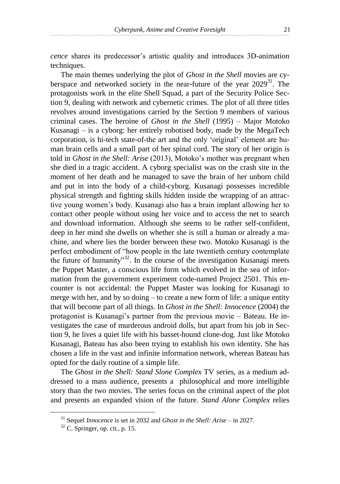*cence* shares its predecessor's artistic quality and introduces 3D-animation techniques.

The main themes underlying the plot of *Ghost in the Shell* movies are cyberspace and networked society in the near-future of the year 2029<sup>31</sup>. The protagonists work in the elite Shell Squad, a part of the Security Police Section 9, dealing with network and cybernetic crimes. The plot of all three titles revolves around investigations carried by the Section 9 members of various criminal cases. The heroine of *Ghost in the Shell* (1995) – Major Motoko Kusanagi – is a cyborg: her entirely robotised body, made by the MegaTech corporation, is hi-tech state-of-the art and the only 'original' element are human brain cells and a small part of her spinal cord. The story of her origin is told in *Ghost in the Shell: Arise* (2013), Motoko's mother was pregnant when she died in a tragic accident. A cyborg specialist was on the crash site in the moment of her death and he managed to save the brain of her unborn child and put in into the body of a child-cyborg. Kusanagi possesses incredible physical strength and fighting skills hidden inside the wrapping of an attractive young women's body. Kusanagi also has a brain implant allowing her to contact other people without using her voice and to access the net to search and download information. Although she seems to be rather self-confident, deep in her mind she dwells on whether she is still a human or already a machine, and where lies the border between these two. Motoko Kusanagi is the perfect embodiment of "how people in the late twentieth century contemplate the future of humanity"<sup>32</sup>. In the course of the investigation Kusanagi meets the Puppet Master, a conscious life form which evolved in the sea of information from the government experiment code-named Project 2501. This encounter is not accidental: the Puppet Master was looking for Kusanagi to merge with her, and by so doing – to create a new form of life: a unique entity that will become part of all things. In *Ghost in the Shell: Innocence* (2004) the protagonist is Kusanagi's partner from the previous movie – Bateau. He investigates the case of murderous android dolls, but apart from his job in Section 9, he lives a quiet life with his basset-hound clone-dog. Just like Motoko Kusanagi, Bateau has also been trying to establish his own identity. She has chosen a life in the vast and infinite information network, whereas Bateau has opted for the daily routine of a simple life.

The *Ghost in the Shell: Stand Slone Complex* TV series, as a medium addressed to a mass audience, presents a philosophical and more intelligible story than the two movies. The series focus on the criminal aspect of the plot and presents an expanded vision of the future. *Stand Alone Complex* relies

<sup>31</sup> Sequel *Innocence* is set in 2032 and *Ghost in the Shell: Arise* – in 2027.

<sup>32</sup> C. Springer, op. cit., p. 15.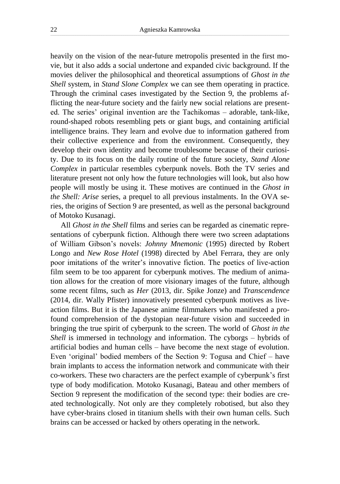heavily on the vision of the near-future metropolis presented in the first movie, but it also adds a social undertone and expanded civic background. If the movies deliver the philosophical and theoretical assumptions of *Ghost in the Shell* system, in *Stand Slone Complex* we can see them operating in practice. Through the criminal cases investigated by the Section 9, the problems afflicting the near-future society and the fairly new social relations are presented. The series' original invention are the Tachikomas – adorable, tank-like, round-shaped robots resembling pets or giant bugs, and containing artificial intelligence brains. They learn and evolve due to information gathered from their collective experience and from the environment. Consequently, they develop their own identity and become troublesome because of their curiosity. Due to its focus on the daily routine of the future society, *Stand Alone Complex* in particular resembles cyberpunk novels. Both the TV series and literature present not only how the future technologies will look, but also how people will mostly be using it. These motives are continued in the *Ghost in the Shell: Arise* series, a prequel to all previous instalments. In the OVA series, the origins of Section 9 are presented, as well as the personal background of Motoko Kusanagi.

All *Ghost in the Shell* films and series can be regarded as cinematic representations of cyberpunk fiction. Although there were two screen adaptations of William Gibson's novels: *Johnny Mnemonic* (1995) directed by Robert Longo and *New Rose Hotel* (1998) directed by Abel Ferrara, they are only poor imitations of the writer's innovative fiction. The poetics of live-action film seem to be too apparent for cyberpunk motives. The medium of animation allows for the creation of more visionary images of the future, although some recent films, such as *Her* (2013, dir. Spike Jonze) and *Transcendence*  (2014, dir. Wally Pfister) innovatively presented cyberpunk motives as liveaction films. But it is the Japanese anime filmmakers who manifested a profound comprehension of the dystopian near-future vision and succeeded in bringing the true spirit of cyberpunk to the screen. The world of *Ghost in the Shell* is immersed in technology and information. The cyborgs – hybrids of artificial bodies and human cells – have become the next stage of evolution. Even 'original' bodied members of the Section 9: Togusa and Chief – have brain implants to access the information network and communicate with their co-workers. These two characters are the perfect example of cyberpunk's first type of body modification. Motoko Kusanagi, Bateau and other members of Section 9 represent the modification of the second type: their bodies are created technologically. Not only are they completely robotised, but also they have cyber-brains closed in titanium shells with their own human cells. Such brains can be accessed or hacked by others operating in the network.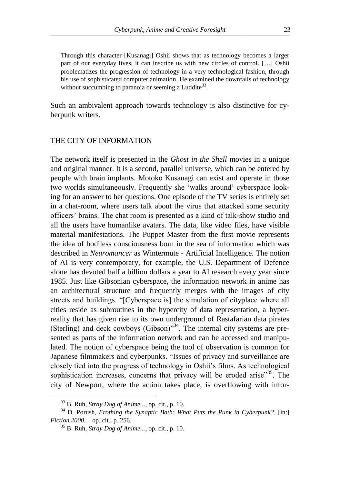Through this character [Kusanagi] Oshii shows that as technology becomes a larger part of our everyday lives, it can inscribe us with new circles of control. […] Oshii problematizes the progression of technology in a very technological fashion, through his use of sophisticated computer animation. He examined the downfalls of technology without succumbing to paranoia or seeming a Luddite<sup>33</sup>.

Such an ambivalent approach towards technology is also distinctive for cyberpunk writers.

#### THE CITY OF INFORMATION

The network itself is presented in the *Ghost in the Shell* movies in a unique and original manner. It is a second, parallel universe, which can be entered by people with brain implants. Motoko Kusanagi can exist and operate in those two worlds simultaneously. Frequently she 'walks around' cyberspace looking for an answer to her questions. One episode of the TV series is entirely set in a chat-room, where users talk about the virus that attacked some security officers' brains. The chat room is presented as a kind of talk-show studio and all the users have humanlike avatars. The data, like video files, have visible material manifestations. The Puppet Master from the first movie represents the idea of bodiless consciousness born in the sea of information which was described in *Neuromancer* as Wintermute - Artificial Intelligence. The notion of AI is very contemporary, for example, the U.S. Department of Defence alone has devoted half a billion dollars a year to AI research every year since 1985. Just like Gibsonian cyberspace, the information network in anime has an architectural structure and frequently merges with the images of city streets and buildings. "[Cyberspace is] the simulation of cityplace where all cities reside as subroutines in the hypercity of data representation, a hyperreality that has given rise to its own underground of Rastafarian data pirates (Sterling) and deck cowboys (Gibson)"<sup>34</sup>. The internal city systems are presented as parts of the information network and can be accessed and manipulated. The notion of cyberspace being the tool of observation is common for Japanese filmmakers and cyberpunks. "Issues of privacy and surveillance are closely tied into the progress of technology in Oshii's films. As technological sophistication increases, concerns that privacy will be eroded arise"<sup>35</sup>. The city of Newport, where the action takes place, is overflowing with infor-

<sup>33</sup> B. Ruh, *Stray Dog of Anime...*, op. cit., p. 10.

<sup>34</sup> D. Porush, *Frothing the Synaptic Bath: What Puts the Punk in Cyberpunk?*, [in:] *Fiction 2000...*, op. cit., p. 256.

<sup>35</sup> B. Ruh, *Stray Dog of Anime...*, op. cit., p. 10.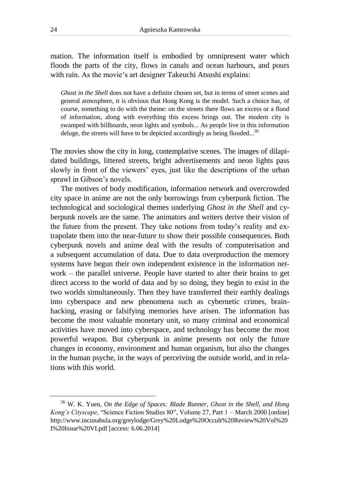mation. The information itself is embodied by omnipresent water which floods the parts of the city, flows in canals and ocean harbours, and pours with rain. As the movie's art designer Takeuchi Atsushi explains:

*Ghost in the Shell* does not have a definite chosen set, but in terms of street scenes and general atmosphere, it is obvious that Hong Kong is the model. Such a choice has, of course, something to do with the theme: on the streets there flows an excess or a flood of information, along with everything this excess brings out. The modern city is swamped with billboards, neon lights and symbols... As people live in this information deluge, the streets will have to be depicted accordingly as being flooded...<sup>36</sup>

The movies show the city in long, contemplative scenes. The images of dilapidated buildings, littered streets, bright advertisements and neon lights pass slowly in front of the viewers' eyes, just like the descriptions of the urban sprawl in Gibson's novels.

The motives of body modification, information network and overcrowded city space in anime are not the only borrowings from cyberpunk fiction. The technological and sociological themes underlying *Ghost in the Shell* and cyberpunk novels are the same. The animators and writers derive their vision of the future from the present. They take notions from today's reality and extrapolate them into the near-future to show their possible consequences. Both cyberpunk novels and anime deal with the results of computerisation and a subsequent accumulation of data. Due to data overproduction the memory systems have begun their own independent existence in the information network – the parallel universe. People have started to alter their brains to get direct access to the world of data and by so doing, they begin to exist in the two worlds simultaneously. Then they have transferred their earthly dealings into cyberspace and new phenomena such as cybernetic crimes, brainhacking, erasing or falsifying memories have arisen. The information has become the most valuable monetary unit, so many criminal and economical activities have moved into cyberspace, and technology has become the most powerful weapon. But cyberpunk in anime presents not only the future changes in economy, environment and human organism, but also the changes in the human psyche, in the ways of perceiving the outside world, and in relations with this world.

<sup>36</sup> W. K. Yuen, *On the Edge of Spaces: Blade Runner, Ghost in the Shell, and Hong Kong's Cityscape*, "Science Fiction Studies 80", Volume 27, Part 1 – March 2000 [online] http://www.incunabula.org/greylodge/Grey%20Lodge%20Occult%20Review%20Vol%20 I%20Issue%20VI.pdf [access: 6.06.2014]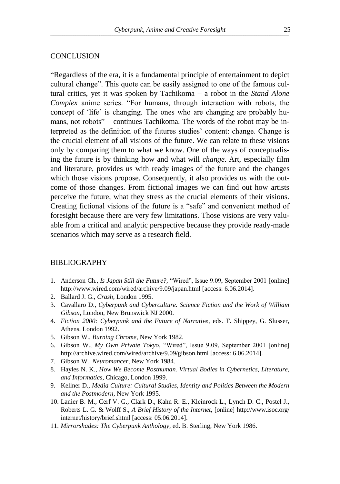#### **CONCLUSION**

"Regardless of the era, it is a fundamental principle of entertainment to depict cultural change". This quote can be easily assigned to one of the famous cultural critics, yet it was spoken by Tachikoma – a robot in the *Stand Alone Complex* anime series. "For humans, through interaction with robots, the concept of 'life' is changing. The ones who are changing are probably humans, not robots" – continues Tachikoma. The words of the robot may be interpreted as the definition of the futures studies' content: change. Change is the crucial element of all visions of the future. We can relate to these visions only by comparing them to what we know. One of the ways of conceptualising the future is by thinking how and what will *change*. Art, especially film and literature, provides us with ready images of the future and the changes which those visions propose. Consequently, it also provides us with the outcome of those changes. From fictional images we can find out how artists perceive the future, what they stress as the crucial elements of their visions. Creating fictional visions of the future is a "safe" and convenient method of foresight because there are very few limitations. Those visions are very valuable from a critical and analytic perspective because they provide ready-made scenarios which may serve as a research field.

#### BIBLIOGRAPHY

- 1. Anderson Ch., *Is Japan Still the Future?*, "Wired", Issue 9.09, September 2001 [online] http://www.wired.com/wired/archive/9.09/japan.html [access: 6.06.2014].
- 2. Ballard J. G., *Crash*, London 1995.
- 3. Cavallaro D., *Cyberpunk and Cyberculture. Science Fiction and the Work of William Gibson*, London, New Brunswick NJ 2000.
- 4. *Fiction 2000: Cyberpunk and the Future of Narrative*, eds. T. Shippey, G. Slusser, Athens, London 1992.
- 5. Gibson W., *Burning Chrome*, New York 1982.
- 6. Gibson W., *My Own Private Tokyo*, "Wired", Issue 9.09, September 2001 [online] http://archive.wired.com/wired/archive/9.09/gibson.html [access: 6.06.2014].
- 7. Gibson W., *Neuromancer*, New York 1984.
- 8. Hayles N. K., *How We Become Posthuman. Virtual Bodies in Cybernetics, Literature, and Informatics*, Chicago, London 1999.
- 9. Kellner D., *Media Culture: Cultural Studies, Identity and Politics Between the Modern and the Postmodern*, New York 1995.
- 10. Lanier B. M., Cerf V. G., Clark D., Kahn R. E., Kleinrock L., Lynch D. C., Postel J., Roberts L. G. & Wolff S., *A Brief History of the Internet*, [online] http://www.isoc.org/ internet/history/brief.shtml [access: 05.06.2014].
- 11. *Mirrorshades: The Cyberpunk Anthology*, ed. B. Sterling, New York 1986.